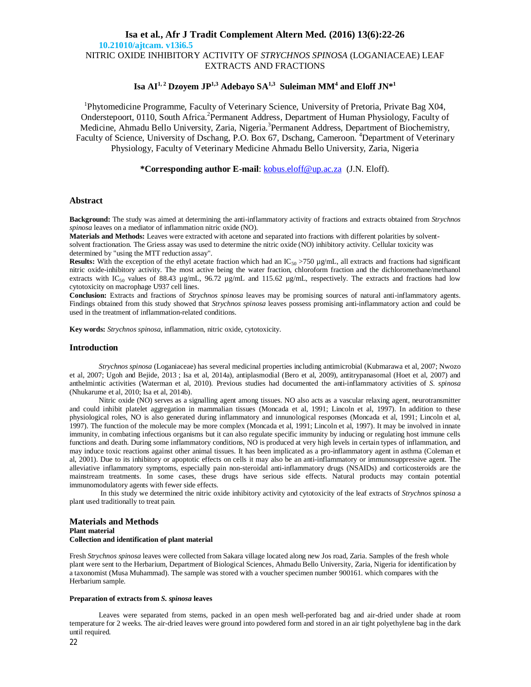# **Isa et al., Afr J Tradit Complement Altern Med. (2016) 13(6):22-26 10.21010/ajtcam. v13i6.5** NITRIC OXIDE INHIBITORY ACTIVITY OF *STRYCHNOS SPINOSA* (LOGANIACEAE) LEAF EXTRACTS AND FRACTIONS

# **Isa AI1, 2 Dzoyem JP1,3 Adebayo SA1,3 Suleiman MM<sup>4</sup> and Eloff JN\* 1**

<sup>1</sup>Phytomedicine Programme, Faculty of Veterinary Science, University of Pretoria, Private Bag X04, Onderstepoort, 0110, South Africa.<sup>2</sup> Permanent Address, Department of Human Physiology, Faculty of Medicine, Ahmadu Bello University, Zaria, Nigeria.<sup>3</sup> Permanent Address, Department of Biochemistry, Faculty of Science, University of Dschang, P.O. Box 67, Dschang, Cameroon. <sup>4</sup>Department of Veterinary Physiology, Faculty of Veterinary Medicine Ahmadu Bello University, Zaria, Nigeria

**\*Corresponding author E-mail**: kobus.eloff@up.ac.za (J.N. Eloff).

### **Abstract**

**Background:** The study was aimed at determining the anti-inflammatory activity of fractions and extracts obtained from *Strychnos spinosa* leaves on a mediator of inflammation nitric oxide (NO).

**Materials and Methods:** Leaves were extracted with acetone and separated into fractions with different polarities by solventsolvent fractionation. The Griess assay was used to determine the nitric oxide (NO) inhibitory activity. Cellular toxicity was determined by "using the MTT reduction assay".

**Results:** With the exception of the ethyl acetate fraction which had an IC<sub>50</sub> >750 µg/mL, all extracts and fractions had significant nitric oxide-inhibitory activity. The most active being the water fraction, chloroform fraction and the dichloromethane/methanol extracts with IC<sub>50</sub> values of 88.43  $\mu$ g/mL, 96.72  $\mu$ g/mL and 115.62  $\mu$ g/mL, respectively. The extracts and fractions had low cytotoxicity on macrophage U937 cell lines.

**Conclusion:** Extracts and fractions of *Strychnos spinosa* leaves may be promising sources of natural anti-inflammatory agents. Findings obtained from this study showed that *Strychnos spinosa* leaves possess promising anti-inflammatory action and could be used in the treatment of inflammation-related conditions.

**Key words:** *Strychnos spinosa*, inflammation, nitric oxide, cytotoxicity.

### **Introduction**

*Strychnos spinosa* (Loganiaceae) has several medicinal properties including antimicrobial (Kubmarawa et al, 2007; Nwozo et al, 2007; Ugoh and Bejide, 2013 ; Isa et al, 2014a), antiplasmodial (Bero et al, 2009), antitrypanasomal (Hoet et al, 2007) and anthelmintic activities (Waterman et al, 2010). Previous studies had documented the anti-inflammatory activities of *S. spinosa* (Nhukarume et al, 2010; Isa et al, 2014b).

Nitric oxide (NO) serves as a signalling agent among tissues. NO also acts as a vascular relaxing agent, neurotransmitter and could inhibit platelet aggregation in mammalian tissues (Moncada et al, 1991; Lincoln et al, 1997). In addition to these physiological roles, NO is also generated during inflammatory and innunological responses (Moncada et al, 1991; Lincoln et al, 1997). The function of the molecule may be more complex (Moncada et al, 1991; Lincoln et al, 1997). It may be involved in innate immunity, in combating infectious organisms but it can also regulate specific immunity by inducing or regulating host immune cells functions and death. During some inflammatory conditions, NO is produced at very high levels in certain types of inflammation, and may induce toxic reactions against other animal tissues. It has been implicated as a pro-inflammatory agent in asthma (Coleman et al, 2001). Due to its inhibitory or apoptotic effects on cells it may also be an anti-inflammatory or immunosuppressive agent. The alleviative inflammatory symptoms, especially pain non-steroidal anti-inflammatory drugs (NSAIDs) and corticosteroids are the mainstream treatments. In some cases, these drugs have serious side effects. Natural products may contain potential immunomodulatory agents with fewer side effects.

In this study we determined the nitric oxide inhibitory activity and cytotoxicity of the leaf extracts of *Strychnos spinosa* a plant used traditionally to treat pain.

### **Materials and Methods Plant material Collection and identification of plant material**

Fresh *Strychnos spinosa* leaves were collected from Sakara village located along new Jos road, Zaria. Samples of the fresh whole plant were sent to the Herbarium, Department of Biological Sciences, Ahmadu Bello University, Zaria, Nigeria for identification by a taxonomist (Musa Muhammad). The sample was stored with a voucher specimen number 900161. which compares with the Herbarium sample.

#### **Preparation of extracts from** *S. spinosa* **leaves**

Leaves were separated from stems, packed in an open mesh well-perforated bag and air-dried under shade at room temperature for 2 weeks. The air-dried leaves were ground into powdered form and stored in an air tight polyethylene bag in the dark until required.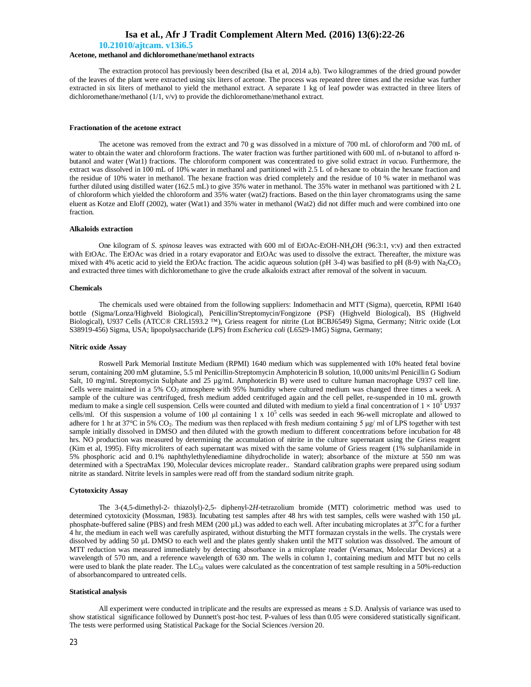### **10.21010/ajtcam. v13i6.5**

### **Acetone, methanol and dichloromethane/methanol extracts**

The extraction protocol has previously been described (Isa et al, 2014 a,b). Two kilogrammes of the dried ground powder of the leaves of the plant were extracted using six liters of acetone. The process was repeated three times and the residue was further extracted in six liters of methanol to yield the methanol extract. A separate 1 kg of leaf powder was extracted in three liters of dichloromethane/methanol (1/1, v/v) to provide the dichloromethane/methanol extract.

#### **Fractionation of the acetone extract**

The acetone was removed from the extract and 70 g was dissolved in a mixture of 700 mL of chloroform and 700 mL of water to obtain the water and chloroform fractions. The water fraction was further partitioned with 600 mL of n-butanol to afford nbutanol and water (Wat1) fractions. The chloroform component was concentrated to give solid extract *in vacuo.* Furthermore, the extract was dissolved in 100 mL of 10% water in methanol and partitioned with 2.5 L of n-hexane to obtain the hexane fraction and the residue of 10% water in methanol. The hexane fraction was dried completely and the residue of 10 % water in methanol was further diluted using distilled water (162.5 mL) to give 35% water in methanol. The 35% water in methanol was partitioned with 2 L of chloroform which yielded the chloroform and 35% water (wat2) fractions. Based on the thin layer chromatograms using the same eluent as Kotze and Eloff (2002), water (Wat1) and 35% water in methanol (Wat2) did not differ much and were combined into one fraction.

#### **Alkaloids extraction**

One kilogram of *S. spinosa* leaves was extracted with 600 ml of EtOAc-EtOH-NH4OH (96:3:1, v:v) and then extracted with EtOAc. The EtOAc was dried in a rotary evaporator and EtOAc was used to dissolve the extract. Thereafter, the mixture was mixed with 4% acetic acid to yield the EtOAc fraction. The acidic aqueous solution (pH 3-4) was basified to pH (8-9) with  $Na<sub>2</sub>CO<sub>3</sub>$ and extracted three times with dichloromethane to give the crude alkaloids extract after removal of the solvent in vacuum.

#### **Chemicals**

The chemicals used were obtained from the following suppliers: Indomethacin and MTT (Sigma), quercetin, RPMI 1640 bottle (Sigma/Lonza/Highveld Biological), Penicillin/Streptomycin/Fongizone (PSF) (Highveld Biological), BS (Highveld Biological), U937 Cells (ATCC® CRL1593.2 ™), Griess reagent for nitrite (Lot BCBJ6549) Sigma, Germany; Nitric oxide (Lot S38919-456) Sigma, USA; lipopolysaccharide (LPS) from *Escherica coli* (L6529-1MG) Sigma, Germany;

#### **Nitric oxide Assay**

Roswell Park Memorial Institute Medium (RPMI) 1640 medium which was supplemented with 10% heated fetal bovine serum, containing 200 mM glutamine, 5.5 ml Penicillin-Streptomycin Amphotericin B solution, 10,000 units/ml Penicillin G Sodium Salt, 10 mg/mL Streptomycin Sulphate and 25 µg/mL Amphotericin B) were used to culture human macrophage U937 cell line. Cells were maintained in a 5% CO<sub>2</sub> atmosphere with 95% humidity where cultured medium was changed three times a week. A sample of the culture was centrifuged, fresh medium added centrifuged again and the cell pellet, re-suspended in 10 mL growth medium to make a single cell suspension. Cells were counted and diluted with medium to yield a final concentration of  $1 \times 10^5$  U937 cells/ml. Of this suspension a volume of 100  $\mu$ l containing 1 x 10<sup>5</sup> cells was seeded in each 96-well microplate and allowed to adhere for 1 hr at 37°C in 5% CO<sub>2</sub>. The medium was then replaced with fresh medium containing 5  $\mu$ g/ ml of LPS together with test sample initially dissolved in DMSO and then diluted with the growth medium to different concentrations before incubation for 48 hrs. NO production was measured by determining the accumulation of nitrite in the culture supernatant using the Griess reagent (Kim et al, 1995). Fifty microliters of each supernatant was mixed with the same volume of Griess reagent (1% sulphanilamide in 5% phosphoric acid and 0.1% naphthylethylenediamine dihydrocholide in water); absorbance of the mixture at 550 nm was determined with a SpectraMax 190, Molecular devices microplate reader.. Standard calibration graphs were prepared using sodium nitrite as standard. Nitrite levels in samples were read off from the standard sodium nitrite graph.

### **Cytotoxicity Assay**

The 3-(4,5-dimethyl-2- thiazolyl)-2,5- diphenyl-2*H*-tetrazolium bromide (MTT) colorimetric method was used to determined cytotoxicity (Mossman, 1983). Incubating test samples after 48 hrs with test samples, cells were washed with 150 µL phosphate-buffered saline (PBS) and fresh MEM (200  $\mu$ L) was added to each well. After incubating microplates at 37<sup>0</sup>C for a further 4 hr, the medium in each well was carefully aspirated, without disturbing the MTT formazan crystals in the wells. The crystals were dissolved by adding 50 µL DMSO to each well and the plates gently shaken until the MTT solution was dissolved. The amount of MTT reduction was measured immediately by detecting absorbance in a microplate reader (Versamax, Molecular Devices) at a wavelength of 570 nm, and a reference wavelength of 630 nm. The wells in column 1, containing medium and MTT but no cells were used to blank the plate reader. The  $LC_{50}$  values were calculated as the concentration of test sample resulting in a 50%-reduction of absorbancompared to untreated cells.

### **Statistical analysis**

All experiment were conducted in triplicate and the results are expressed as means  $\pm$  S.D. Analysis of variance was used to show statistical significance followed by Dunnett's post-hoc test. P-values of less than 0.05 were considered statistically significant. The tests were performed using Statistical Package for the Social Sciences /version 20.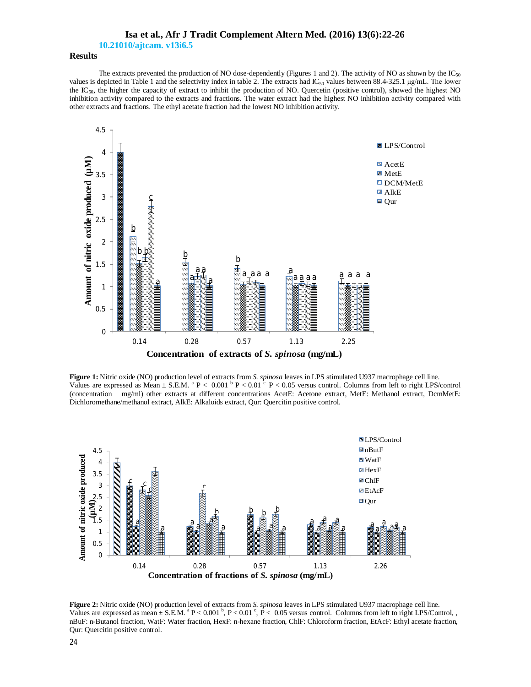**10.21010/ajtcam. v13i6.5**

# **Results**

The extracts prevented the production of NO dose-dependently (Figures 1 and 2). The activity of NO as shown by the  $IC_{50}$ values is depicted in Table 1 and the selectivity index in table 2. The extracts had  $IC_{50}$  values between 88.4-325.1 µg/mL. The lower the IC<sub>50</sub>, the higher the capacity of extract to inhibit the production of NO. Quercetin (positive control), showed the highest NO inhibition activity compared to the extracts and fractions. The water extract had the highest NO inhibition activity compared with other extracts and fractions. The ethyl acetate fraction had the lowest NO inhibition activity.



**Figure 1:** Nitric oxide (NO) production level of extracts from *S. spinosa* leaves in LPS stimulated U937 macrophage cell line. Values are expressed as Mean  $\pm$  S.E.M.  $^{\text{a}}$  P < 0.001  $^{\text{b}}$  P < 0.01  $^{\text{c}}$  P < 0.05 versus control. Columns from left to right LPS/control (concentration mg/ml) other extracts at different concentrations AcetE: Acetone extract, MetE: Methanol extract, DcmMetE: Dichloromethane/methanol extract, AlkE: Alkaloids extract, Qur: Quercitin positive control.



**Figure 2:** Nitric oxide (NO) production level of extracts from *S. spinosa* leaves in LPS stimulated U937 macrophage cell line. Values are expressed as mean  $\pm$  S.E.M.  $^{8}$  P < 0.001  $^{6}$ , P < 0.01  $^{c}$ , P < 0.05 versus control. Columns from left to right LPS/Control, , nBuF: n-Butanol fraction, WatF: Water fraction, HexF: n-hexane fraction, ChlF: Chloroform fraction, EtAcF: Ethyl acetate fraction, Qur: Quercitin positive control.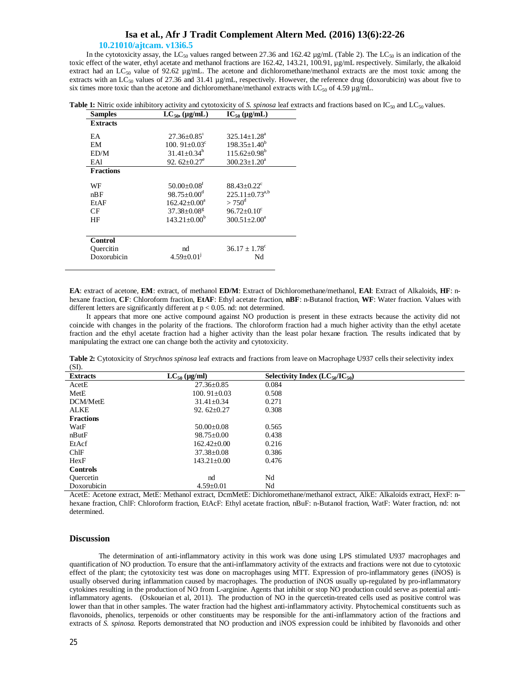### **10.21010/ajtcam. v13i6.5**

In the cytotoxicity assay, the LC<sub>50</sub> values ranged between 27.36 and 162.42  $\mu$ g/mL (Table 2). The LC<sub>50</sub> is an indication of the toxic effect of the water, ethyl acetate and methanol fractions are 162.42, 143.21, 100.91, µg/mL respectively. Similarly, the alkaloid extract had an LC<sub>50</sub> value of 92.62 µg/mL. The acetone and dichloromethane/methanol extracts are the most toxic among the extracts with an LC<sub>50</sub> values of 27.36 and 31.41  $\mu$ g/mL, respectively. However, the reference drug (doxorubicin) was about five to six times more toxic than the acetone and dichloromethane/methanol extracts with LC<sub>50</sub> of 4.59 µg/mL.

| <b>Table 1:</b> Nitric oxide inhibitory activity and cytotoxicity of S. spinosa leaf extracts and fractions based on $IC_{50}$ and $LC_{50}$ values. |
|------------------------------------------------------------------------------------------------------------------------------------------------------|
|------------------------------------------------------------------------------------------------------------------------------------------------------|

| <b>Samples</b>   | $LC_{50}$ , (µg/mL)                     | $IC_{50} (\mu g/mL)$          |  |
|------------------|-----------------------------------------|-------------------------------|--|
| <b>Extracts</b>  |                                         |                               |  |
| EA               | $27.36 + 0.85$ <sup>1</sup>             | $325.14 + 1.28a$              |  |
| EM               | 100. $91 \pm 0.03$ <sup>c</sup>         | $198.35 \pm 1.40^b$           |  |
| ED/M             | $31.41 + 0.34h$                         | $115.62 \pm 0.98^b$           |  |
| EA1              | 92. $62+0.27^e$                         | $300.23 + 1.20a$              |  |
| <b>Fractions</b> |                                         |                               |  |
| WF               | $50.00 \pm 0.08$ <sup>t</sup>           | $88.43 + 0.22^c$              |  |
| nBF              | $98.75 + 0.00^{\circ}$                  | $225.11 + 0.73^{a,b}$         |  |
| EtAF             | $162.42 + 0.00^a$                       | $> 750^{\circ}$               |  |
| CF               | $37.38 \pm 0.08$ <sup>g</sup>           | $96.72 + 0.10^c$              |  |
| HF               | $143.21 + 0.00b$<br>$300.51 \pm 2.00^a$ |                               |  |
| <b>Control</b>   |                                         |                               |  |
| Ouercitin        | nd                                      | $36.17 \pm 1.78$ <sup>c</sup> |  |
| Doxorubicin      | $4.59 \pm 0.01$ <sup>1</sup>            | Nd                            |  |

**EA**: extract of acetone, **EM**: extract, of methanol **ED/M**: Extract of Dichloromethane/methanol, **EAl**: Extract of Alkaloids, **HF**: nhexane fraction, **CF**: Chloroform fraction, **EtAF**: Ethyl acetate fraction, **nBF**: n-Butanol fraction, **WF**: Water fraction. Values with different letters are significantly different at  $p < 0.05$ . nd: not determined.

It appears that more one active compound against NO production is present in these extracts because the activity did not coincide with changes in the polarity of the fractions. The chloroform fraction had a much higher activity than the ethyl acetate fraction and the ethyl acetate fraction had a higher activity than the least polar hexane fraction. The results indicated that by manipulating the extract one can change both the activity and cytotoxicity.

**Table 2:** Cytotoxicity of *Strychnos spinosa* leaf extracts and fractions from leave on Macrophage U937 cells their selectivity index  $($ CD $)$ .

| (WI).            |                   |                                       |  |
|------------------|-------------------|---------------------------------------|--|
| <b>Extracts</b>  | $LC_{50}$ (µg/ml) | Selectivity Index $(LC_{50}/IC_{50})$ |  |
| AcetE            | $27.36 \pm 0.85$  | 0.084                                 |  |
| MetE             | $100.91 + 0.03$   | 0.508                                 |  |
| DCM/MetE         | $31.41 \pm 0.34$  | 0.271                                 |  |
| <b>ALKE</b>      | 92.62 $\pm$ 0.27  | 0.308                                 |  |
| <b>Fractions</b> |                   |                                       |  |
| WatF             | $50.00 \pm 0.08$  | 0.565                                 |  |
| nButF            | $98.75 \pm 0.00$  | 0.438                                 |  |
| EtAcf            | $162.42+0.00$     | 0.216                                 |  |
| ChIF             | $37.38 \pm 0.08$  | 0.386                                 |  |
| HexF             | $143.21 + 0.00$   | 0.476                                 |  |
| <b>Controls</b>  |                   |                                       |  |
| Ouercetin        | nd                | Nd                                    |  |
| Doxorubicin      | $4.59 \pm 0.01$   | Nd                                    |  |

AcetE: Acetone extract, MetE: Methanol extract, DcmMetE: Dichloromethane/methanol extract, AlkE: Alkaloids extract, HexF: nhexane fraction, ChlF: Chloroform fraction, EtAcF: Ethyl acetate fraction, nBuF: n-Butanol fraction, WatF: Water fraction, nd: not determined.

# **Discussion**

The determination of anti-inflammatory activity in this work was done using LPS stimulated U937 macrophages and quantification of NO production. To ensure that the anti-inflammatory activity of the extracts and fractions were not due to cytotoxic effect of the plant; the cytotoxicity test was done on macrophages using MTT. Expression of pro-inflammatory genes (iNOS) is usually observed during inflammation caused by macrophages. The production of iNOS usually up-regulated by pro-inflammatory cytokines resulting in the production of NO from L-arginine. Agents that inhibit or stop NO production could serve as potential antiinflammatory agents. (Oskoueian et al, 2011). The production of NO in the quercetin-treated cells used as positive control was lower than that in other samples. The water fraction had the highest anti-inflammatory activity. Phytochemical constituents such as flavonoids, phenolics, terpenoids or other constituents may be responsible for the anti-inflammatory action of the fractions and extracts of *S. spinosa.* Reports demonstrated that NO production and iNOS expression could be inhibited by flavonoids and other